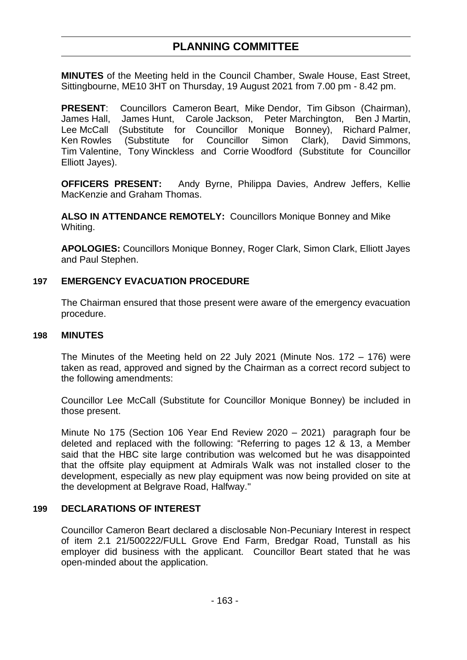# **PLANNING COMMITTEE**

**MINUTES** of the Meeting held in the Council Chamber, Swale House, East Street, Sittingbourne, ME10 3HT on Thursday, 19 August 2021 from 7.00 pm - 8.42 pm.

**PRESENT**: Councillors Cameron Beart, Mike Dendor, Tim Gibson (Chairman), James Hall, James Hunt, Carole Jackson, Peter Marchington, Ben J Martin, Lee McCall (Substitute for Councillor Monique Bonney), Richard Palmer, Ken Rowles (Substitute for Councillor Simon Clark), David Simmons, Tim Valentine, Tony Winckless and Corrie Woodford (Substitute for Councillor Elliott Jayes).

**OFFICERS PRESENT:** Andy Byrne, Philippa Davies, Andrew Jeffers, Kellie MacKenzie and Graham Thomas.

**ALSO IN ATTENDANCE REMOTELY:** Councillors Monique Bonney and Mike Whiting.

**APOLOGIES:** Councillors Monique Bonney, Roger Clark, Simon Clark, Elliott Jayes and Paul Stephen.

### **197 EMERGENCY EVACUATION PROCEDURE**

The Chairman ensured that those present were aware of the emergency evacuation procedure.

#### **198 MINUTES**

The Minutes of the Meeting held on 22 July 2021 (Minute Nos. 172 – 176) were taken as read, approved and signed by the Chairman as a correct record subject to the following amendments:

Councillor Lee McCall (Substitute for Councillor Monique Bonney) be included in those present.

Minute No 175 (Section 106 Year End Review 2020 – 2021) paragraph four be deleted and replaced with the following: "Referring to pages 12 & 13, a Member said that the HBC site large contribution was welcomed but he was disappointed that the offsite play equipment at Admirals Walk was not installed closer to the development, especially as new play equipment was now being provided on site at the development at Belgrave Road, Halfway."

### **199 DECLARATIONS OF INTEREST**

Councillor Cameron Beart declared a disclosable Non-Pecuniary Interest in respect of item 2.1 21/500222/FULL Grove End Farm, Bredgar Road, Tunstall as his employer did business with the applicant. Councillor Beart stated that he was open-minded about the application.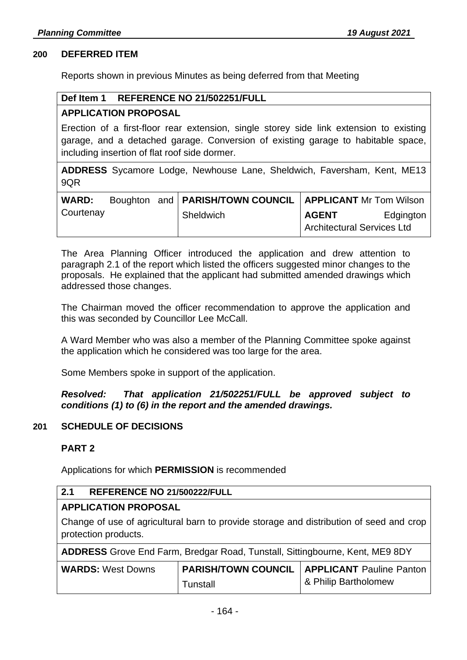#### **200 DEFERRED ITEM**

Reports shown in previous Minutes as being deferred from that Meeting

#### **Def Item 1 REFERENCE NO 21/502251/FULL**

### **APPLICATION PROPOSAL**

Erection of a first-floor rear extension, single storey side link extension to existing garage, and a detached garage. Conversion of existing garage to habitable space, including insertion of flat roof side dormer.

**ADDRESS** Sycamore Lodge, Newhouse Lane, Sheldwich, Faversham, Kent, ME13 9QR

| <b>WARD:</b> |  | Boughton and   PARISH/TOWN COUNCIL   APPLICANT Mr Tom Wilson |                                   |           |
|--------------|--|--------------------------------------------------------------|-----------------------------------|-----------|
| Courtenay    |  | Sheldwich                                                    | <b>AGENT</b>                      | Edgington |
|              |  |                                                              | <b>Architectural Services Ltd</b> |           |

The Area Planning Officer introduced the application and drew attention to paragraph 2.1 of the report which listed the officers suggested minor changes to the proposals. He explained that the applicant had submitted amended drawings which addressed those changes.

The Chairman moved the officer recommendation to approve the application and this was seconded by Councillor Lee McCall.

A Ward Member who was also a member of the Planning Committee spoke against the application which he considered was too large for the area.

Some Members spoke in support of the application.

*Resolved: That application 21/502251/FULL be approved subject to conditions (1) to (6) in the report and the amended drawings.* 

#### **201 SCHEDULE OF DECISIONS**

### **PART 2**

Applications for which **PERMISSION** is recommended

| 2.1<br>REFERENCE NO 21/500222/FULL                                                                              |                            |                                 |  |
|-----------------------------------------------------------------------------------------------------------------|----------------------------|---------------------------------|--|
| <b>APPLICATION PROPOSAL</b>                                                                                     |                            |                                 |  |
| Change of use of agricultural barn to provide storage and distribution of seed and crop<br>protection products. |                            |                                 |  |
| ADDRESS Grove End Farm, Bredgar Road, Tunstall, Sittingbourne, Kent, ME9 8DY                                    |                            |                                 |  |
| <b>WARDS: West Downs</b>                                                                                        | <b>PARISH/TOWN COUNCIL</b> | <b>APPLICANT</b> Pauline Panton |  |
|                                                                                                                 | Tunstall                   | & Philip Bartholomew            |  |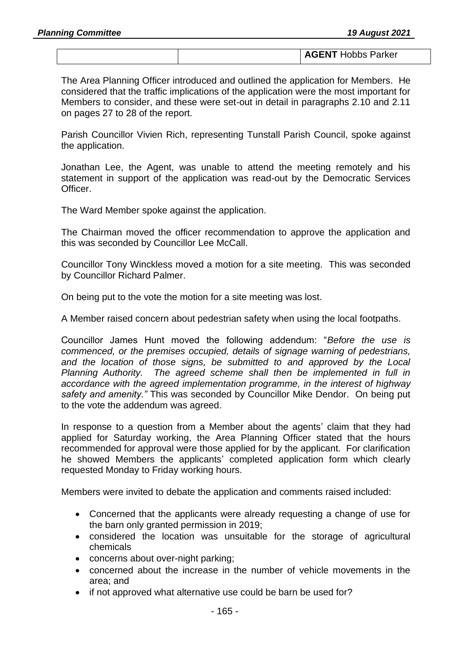|--|

The Area Planning Officer introduced and outlined the application for Members. He considered that the traffic implications of the application were the most important for Members to consider, and these were set-out in detail in paragraphs 2.10 and 2.11 on pages 27 to 28 of the report.

Parish Councillor Vivien Rich, representing Tunstall Parish Council, spoke against the application.

Jonathan Lee, the Agent, was unable to attend the meeting remotely and his statement in support of the application was read-out by the Democratic Services Officer.

The Ward Member spoke against the application.

The Chairman moved the officer recommendation to approve the application and this was seconded by Councillor Lee McCall.

Councillor Tony Winckless moved a motion for a site meeting. This was seconded by Councillor Richard Palmer.

On being put to the vote the motion for a site meeting was lost.

A Member raised concern about pedestrian safety when using the local footpaths.

Councillor James Hunt moved the following addendum: "*Before the use is commenced, or the premises occupied, details of signage warning of pedestrians, and the location of those signs, be submitted to and approved by the Local Planning Authority. The agreed scheme shall then be implemented in full in accordance with the agreed implementation programme, in the interest of highway safety and amenity."* This was seconded by Councillor Mike Dendor. On being put to the vote the addendum was agreed.

In response to a question from a Member about the agents' claim that they had applied for Saturday working, the Area Planning Officer stated that the hours recommended for approval were those applied for by the applicant. For clarification he showed Members the applicants' completed application form which clearly requested Monday to Friday working hours.

Members were invited to debate the application and comments raised included:

- Concerned that the applicants were already requesting a change of use for the barn only granted permission in 2019;
- considered the location was unsuitable for the storage of agricultural chemicals
- concerns about over-night parking;
- concerned about the increase in the number of vehicle movements in the area; and
- if not approved what alternative use could be barn be used for?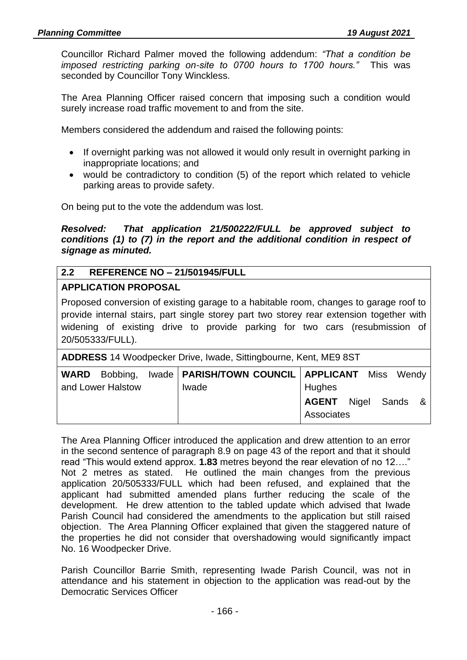Councillor Richard Palmer moved the following addendum: *"That a condition be imposed restricting parking on-site to 0700 hours to 1700 hours."* This was seconded by Councillor Tony Winckless.

The Area Planning Officer raised concern that imposing such a condition would surely increase road traffic movement to and from the site.

Members considered the addendum and raised the following points:

- If overnight parking was not allowed it would only result in overnight parking in inappropriate locations; and
- would be contradictory to condition (5) of the report which related to vehicle parking areas to provide safety.

On being put to the vote the addendum was lost.

*Resolved: That application 21/500222/FULL be approved subject to conditions (1) to (7) in the report and the additional condition in respect of signage as minuted.* 

### **2.2 REFERENCE NO – 21/501945/FULL**

#### **APPLICATION PROPOSAL**

Proposed conversion of existing garage to a habitable room, changes to garage roof to provide internal stairs, part single storey part two storey rear extension together with widening of existing drive to provide parking for two cars (resubmission of 20/505333/FULL).

**ADDRESS** 14 Woodpecker Drive, Iwade, Sittingbourne, Kent, ME9 8ST

|                   | WARD Bobbing, Iwade   PARISH/TOWN COUNCIL   APPLICANT Miss Wendy |                    |         |  |
|-------------------|------------------------------------------------------------------|--------------------|---------|--|
| and Lower Halstow | Iwade                                                            | Hughes             |         |  |
|                   |                                                                  | <b>AGENT</b> Nigel | Sands & |  |
|                   |                                                                  | Associates         |         |  |

The Area Planning Officer introduced the application and drew attention to an error in the second sentence of paragraph 8.9 on page 43 of the report and that it should read "This would extend approx. **1.83** metres beyond the rear elevation of no 12…." Not 2 metres as stated. He outlined the main changes from the previous application 20/505333/FULL which had been refused, and explained that the applicant had submitted amended plans further reducing the scale of the development. He drew attention to the tabled update which advised that Iwade Parish Council had considered the amendments to the application but still raised objection. The Area Planning Officer explained that given the staggered nature of the properties he did not consider that overshadowing would significantly impact No. 16 Woodpecker Drive.

Parish Councillor Barrie Smith, representing Iwade Parish Council, was not in attendance and his statement in objection to the application was read-out by the Democratic Services Officer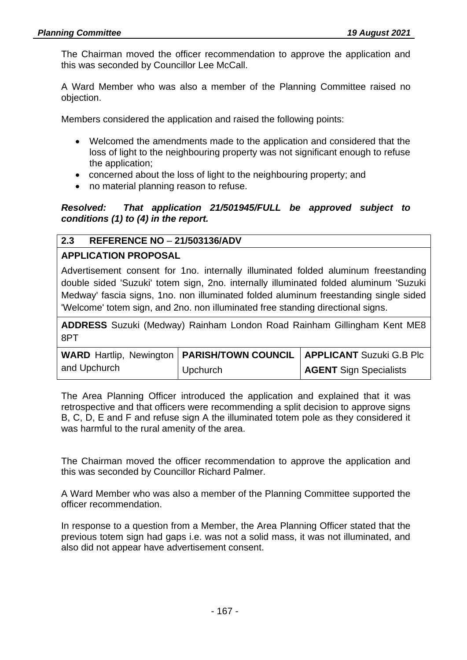The Chairman moved the officer recommendation to approve the application and this was seconded by Councillor Lee McCall.

A Ward Member who was also a member of the Planning Committee raised no objection.

Members considered the application and raised the following points:

- Welcomed the amendments made to the application and considered that the loss of light to the neighbouring property was not significant enough to refuse the application;
- concerned about the loss of light to the neighbouring property; and
- no material planning reason to refuse.

*Resolved: That application 21/501945/FULL be approved subject to conditions (1) to (4) in the report.*

# **2.3 REFERENCE NO** – **21/503136/ADV**

# **APPLICATION PROPOSAL**

Advertisement consent for 1no. internally illuminated folded aluminum freestanding double sided 'Suzuki' totem sign, 2no. internally illuminated folded aluminum 'Suzuki Medway' fascia signs, 1no. non illuminated folded aluminum freestanding single sided 'Welcome' totem sign, and 2no. non illuminated free standing directional signs.

**ADDRESS** Suzuki (Medway) Rainham London Road Rainham Gillingham Kent ME8 8PT

|              |          | <b>WARD Hartlip, Newington   PARISH/TOWN COUNCIL   APPLICANT Suzuki G.B Plc</b> |
|--------------|----------|---------------------------------------------------------------------------------|
| and Upchurch | Upchurch | <b>AGENT</b> Sign Specialists                                                   |

The Area Planning Officer introduced the application and explained that it was retrospective and that officers were recommending a split decision to approve signs B, C, D, E and F and refuse sign A the illuminated totem pole as they considered it was harmful to the rural amenity of the area.

The Chairman moved the officer recommendation to approve the application and this was seconded by Councillor Richard Palmer.

A Ward Member who was also a member of the Planning Committee supported the officer recommendation.

In response to a question from a Member, the Area Planning Officer stated that the previous totem sign had gaps i.e. was not a solid mass, it was not illuminated, and also did not appear have advertisement consent.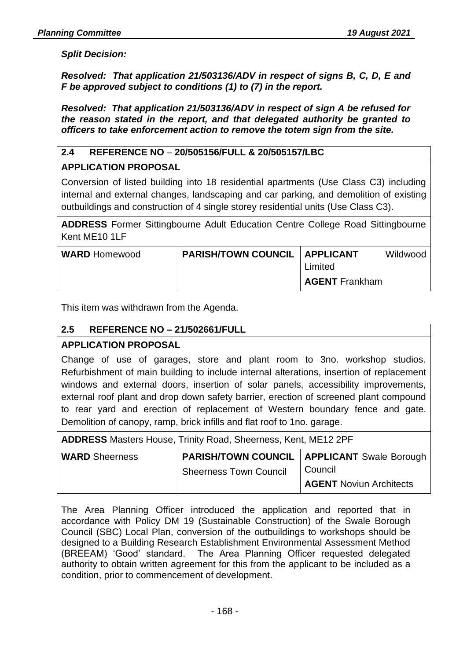**AGENT** Noviun Architects

### *Split Decision:*

*Resolved: That application 21/503136/ADV in respect of signs B, C, D, E and F be approved subject to conditions (1) to (7) in the report.*

*Resolved: That application 21/503136/ADV in respect of sign A be refused for the reason stated in the report, and that delegated authority be granted to officers to take enforcement action to remove the totem sign from the site.*

### **2.4 REFERENCE NO** – **20/505156/FULL & 20/505157/LBC**

### **APPLICATION PROPOSAL**

Conversion of listed building into 18 residential apartments (Use Class C3) including internal and external changes, landscaping and car parking, and demolition of existing outbuildings and construction of 4 single storey residential units (Use Class C3).

**ADDRESS** Former Sittingbourne Adult Education Centre College Road Sittingbourne Kent ME10 1LF

| <b>WARD</b> Homewood | <b>PARISH/TOWN COUNCIL   APPLICANT</b> |                       | Wildwood |
|----------------------|----------------------------------------|-----------------------|----------|
|                      |                                        | Limited               |          |
|                      |                                        | <b>AGENT</b> Frankham |          |

This item was withdrawn from the Agenda.

### **2.5 REFERENCE NO – 21/502661/FULL**

### **APPLICATION PROPOSAL**

Change of use of garages, store and plant room to 3no. workshop studios. Refurbishment of main building to include internal alterations, insertion of replacement windows and external doors, insertion of solar panels, accessibility improvements, external roof plant and drop down safety barrier, erection of screened plant compound to rear yard and erection of replacement of Western boundary fence and gate. Demolition of canopy, ramp, brick infills and flat roof to 1no. garage.

| <b>ADDRESS</b> Masters House, Trinity Road, Sheerness, Kent, ME12 2PF |                               |                                                      |  |
|-----------------------------------------------------------------------|-------------------------------|------------------------------------------------------|--|
| <b>WARD</b> Sheerness                                                 |                               | <b>PARISH/TOWN COUNCIL   APPLICANT Swale Borough</b> |  |
|                                                                       | <b>Sheerness Town Council</b> | Council                                              |  |

The Area Planning Officer introduced the application and reported that in accordance with Policy DM 19 (Sustainable Construction) of the Swale Borough Council (SBC) Local Plan, conversion of the outbuildings to workshops should be designed to a Building Research Establishment Environmental Assessment Method (BREEAM) 'Good' standard. The Area Planning Officer requested delegated authority to obtain written agreement for this from the applicant to be included as a condition, prior to commencement of development.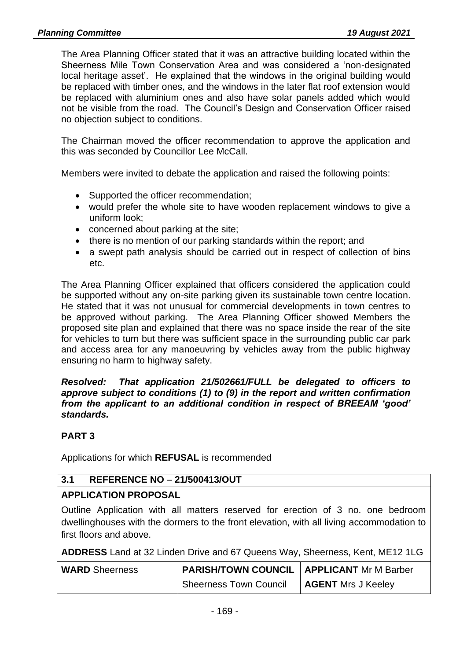The Area Planning Officer stated that it was an attractive building located within the Sheerness Mile Town Conservation Area and was considered a 'non-designated local heritage asset'. He explained that the windows in the original building would be replaced with timber ones, and the windows in the later flat roof extension would be replaced with aluminium ones and also have solar panels added which would not be visible from the road. The Council's Design and Conservation Officer raised no objection subject to conditions.

The Chairman moved the officer recommendation to approve the application and this was seconded by Councillor Lee McCall.

Members were invited to debate the application and raised the following points:

- Supported the officer recommendation;
- would prefer the whole site to have wooden replacement windows to give a uniform look;
- concerned about parking at the site;
- there is no mention of our parking standards within the report; and
- a swept path analysis should be carried out in respect of collection of bins etc.

The Area Planning Officer explained that officers considered the application could be supported without any on-site parking given its sustainable town centre location. He stated that it was not unusual for commercial developments in town centres to be approved without parking. The Area Planning Officer showed Members the proposed site plan and explained that there was no space inside the rear of the site for vehicles to turn but there was sufficient space in the surrounding public car park and access area for any manoeuvring by vehicles away from the public highway ensuring no harm to highway safety.

*Resolved: That application 21/502661/FULL be delegated to officers to approve subject to conditions (1) to (9) in the report and written confirmation from the applicant to an additional condition in respect of BREEAM 'good' standards.*

### **PART 3**

Applications for which **REFUSAL** is recommended

### **3.1 REFERENCE NO** – **21/500413/OUT**

### **APPLICATION PROPOSAL**

Outline Application with all matters reserved for erection of 3 no. one bedroom dwellinghouses with the dormers to the front elevation, with all living accommodation to first floors and above.

| ADDRESS Land at 32 Linden Drive and 67 Queens Way, Sheerness, Kent, ME12 1LG |  |
|------------------------------------------------------------------------------|--|
|------------------------------------------------------------------------------|--|

| <b>WARD</b> Sheerness | <b>PARISH/TOWN COUNCIL   APPLICANT Mr M Barber</b> |                           |  |
|-----------------------|----------------------------------------------------|---------------------------|--|
|                       | <b>Sheerness Town Council</b>                      | <b>AGENT</b> Mrs J Keeley |  |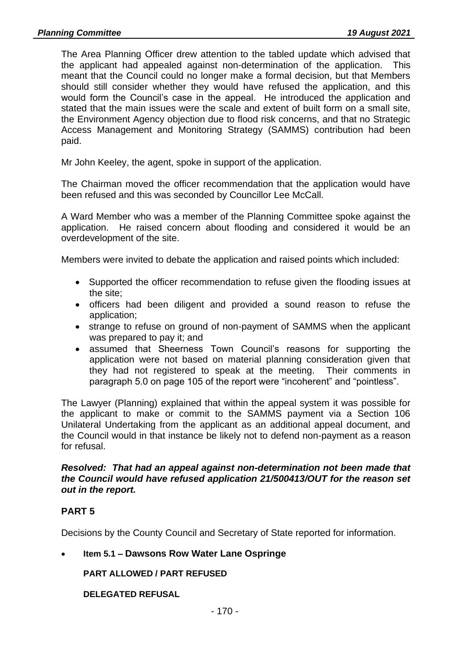The Area Planning Officer drew attention to the tabled update which advised that the applicant had appealed against non-determination of the application. This meant that the Council could no longer make a formal decision, but that Members should still consider whether they would have refused the application, and this would form the Council's case in the appeal. He introduced the application and stated that the main issues were the scale and extent of built form on a small site, the Environment Agency objection due to flood risk concerns, and that no Strategic Access Management and Monitoring Strategy (SAMMS) contribution had been paid.

Mr John Keeley, the agent, spoke in support of the application.

The Chairman moved the officer recommendation that the application would have been refused and this was seconded by Councillor Lee McCall.

A Ward Member who was a member of the Planning Committee spoke against the application. He raised concern about flooding and considered it would be an overdevelopment of the site.

Members were invited to debate the application and raised points which included:

- Supported the officer recommendation to refuse given the flooding issues at the site;
- officers had been diligent and provided a sound reason to refuse the application;
- strange to refuse on ground of non-payment of SAMMS when the applicant was prepared to pay it; and
- assumed that Sheerness Town Council's reasons for supporting the application were not based on material planning consideration given that they had not registered to speak at the meeting. Their comments in paragraph 5.0 on page 105 of the report were "incoherent" and "pointless".

The Lawyer (Planning) explained that within the appeal system it was possible for the applicant to make or commit to the SAMMS payment via a Section 106 Unilateral Undertaking from the applicant as an additional appeal document, and the Council would in that instance be likely not to defend non-payment as a reason for refusal.

#### *Resolved: That had an appeal against non-determination not been made that the Council would have refused application 21/500413/OUT for the reason set out in the report.*

### **PART 5**

Decisions by the County Council and Secretary of State reported for information.

### • **Item 5.1 – Dawsons Row Water Lane Ospringe**

**PART ALLOWED / PART REFUSED**

**DELEGATED REFUSAL**